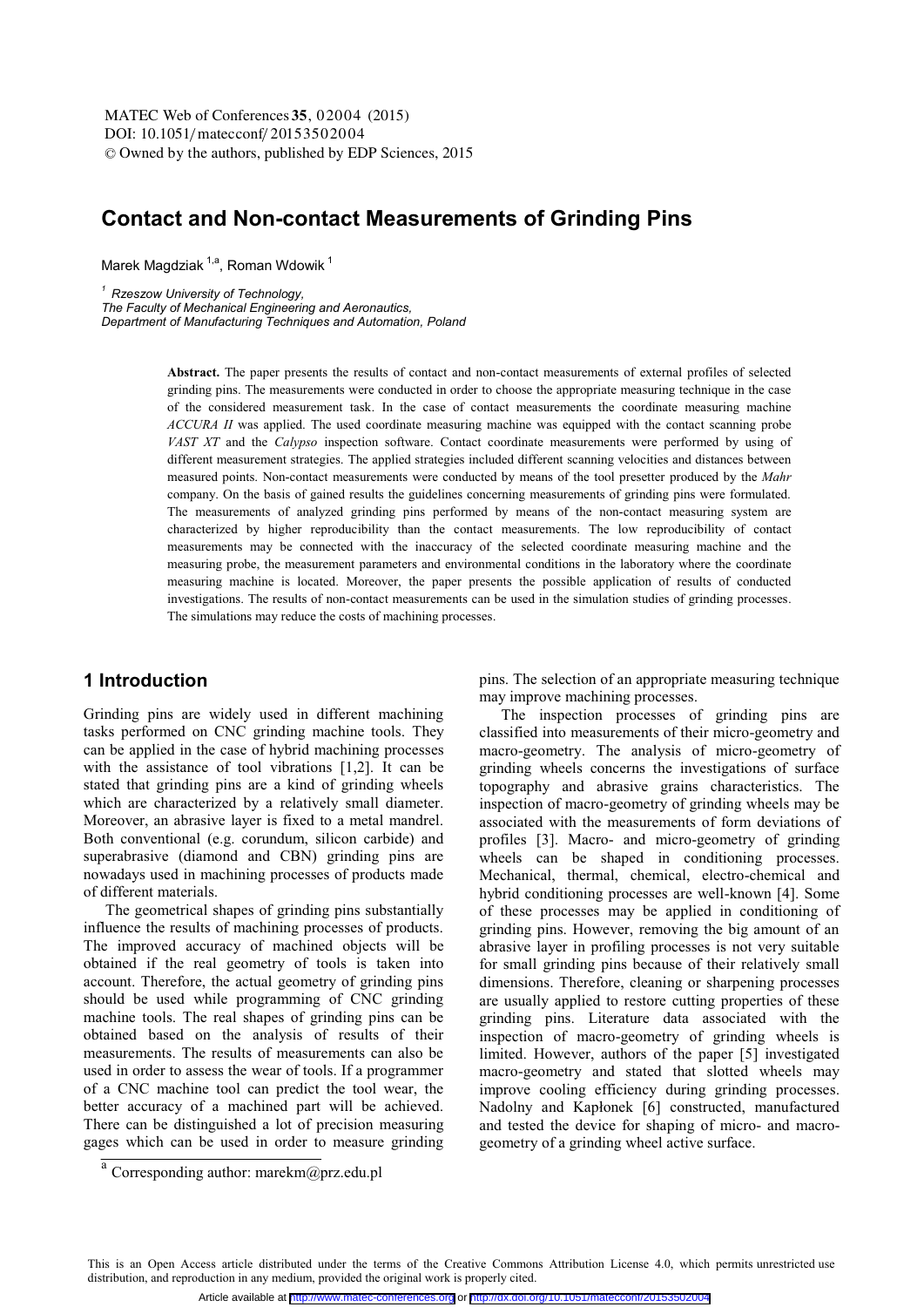**DOI:** 10.1051/matecconf/20153502004 -<sup>C</sup> Owned by the authors, published by EDP Sciences, 2015 MATEC Web of Conferences 35, 02004 (2015)

# **Contact and Non-contact Measurements of Grinding Pins**

Marek Magdziak <sup>1,a</sup>, Roman Wdowik<sup>1</sup>

*<sup>1</sup> Rzeszow University of Technology,* 

*The Faculty of Mechanical Engineering and Aeronautics, Department of Manufacturing Techniques and Automation, Poland*

> **Abstract.** The paper presents the results of contact and non-contact measurements of external profiles of selected grinding pins. The measurements were conducted in order to choose the appropriate measuring technique in the case of the considered measurement task. In the case of contact measurements the coordinate measuring machine *ACCURA II* was applied. The used coordinate measuring machine was equipped with the contact scanning probe *VAST XT* and the *Calypso* inspection software. Contact coordinate measurements were performed by using of different measurement strategies. The applied strategies included different scanning velocities and distances between measured points. Non-contact measurements were conducted by means of the tool presetter produced by the *Mahr* company. On the basis of gained results the guidelines concerning measurements of grinding pins were formulated. The measurements of analyzed grinding pins performed by means of the non-contact measuring system are characterized by higher reproducibility than the contact measurements. The low reproducibility of contact measurements may be connected with the inaccuracy of the selected coordinate measuring machine and the measuring probe, the measurement parameters and environmental conditions in the laboratory where the coordinate measuring machine is located. Moreover, the paper presents the possible application of results of conducted investigations. The results of non-contact measurements can be used in the simulation studies of grinding processes. The simulations may reduce the costs of machining processes.

# **1 Introduction**

Grinding pins are widely used in different machining tasks performed on CNC grinding machine tools. They can be applied in the case of hybrid machining processes with the assistance of tool vibrations [1,2]. It can be stated that grinding pins are a kind of grinding wheels which are characterized by a relatively small diameter. Moreover, an abrasive layer is fixed to a metal mandrel. Both conventional (e.g. corundum, silicon carbide) and superabrasive (diamond and CBN) grinding pins are nowadays used in machining processes of products made of different materials.

The geometrical shapes of grinding pins substantially influence the results of machining processes of products. The improved accuracy of machined objects will be obtained if the real geometry of tools is taken into account. Therefore, the actual geometry of grinding pins should be used while programming of CNC grinding machine tools. The real shapes of grinding pins can be obtained based on the analysis of results of their measurements. The results of measurements can also be used in order to assess the wear of tools. If a programmer of a CNC machine tool can predict the tool wear, the better accuracy of a machined part will be achieved. There can be distinguished a lot of precision measuring gages which can be used in order to measure grinding

pins. The selection of an appropriate measuring technique may improve machining processes.

The inspection processes of grinding pins are classified into measurements of their micro-geometry and macro-geometry. The analysis of micro-geometry of grinding wheels concerns the investigations of surface topography and abrasive grains characteristics. The inspection of macro-geometry of grinding wheels may be associated with the measurements of form deviations of profiles [3]. Macro- and micro-geometry of grinding wheels can be shaped in conditioning processes. Mechanical, thermal, chemical, electro-chemical and hybrid conditioning processes are well-known [4]. Some of these processes may be applied in conditioning of grinding pins. However, removing the big amount of an abrasive layer in profiling processes is not very suitable for small grinding pins because of their relatively small dimensions. Therefore, cleaning or sharpening processes are usually applied to restore cutting properties of these grinding pins. Literature data associated with the inspection of macro-geometry of grinding wheels is limited. However, authors of the paper [5] investigated macro-geometry and stated that slotted wheels may improve cooling efficiency during grinding processes. Nadolny and Kapłonek [6] constructed, manufactured and tested the device for shaping of micro- and macrogeometry of a grinding wheel active surface.

This is an Open Access article distributed under the terms of the Creative Commons Attribution License 4.0, which permits unrestricted use distribution, and reproduction in any medium, provided the original work is properly cited.

<sup>&</sup>lt;sup>a</sup> Corresponding author: marekm@prz.edu.pl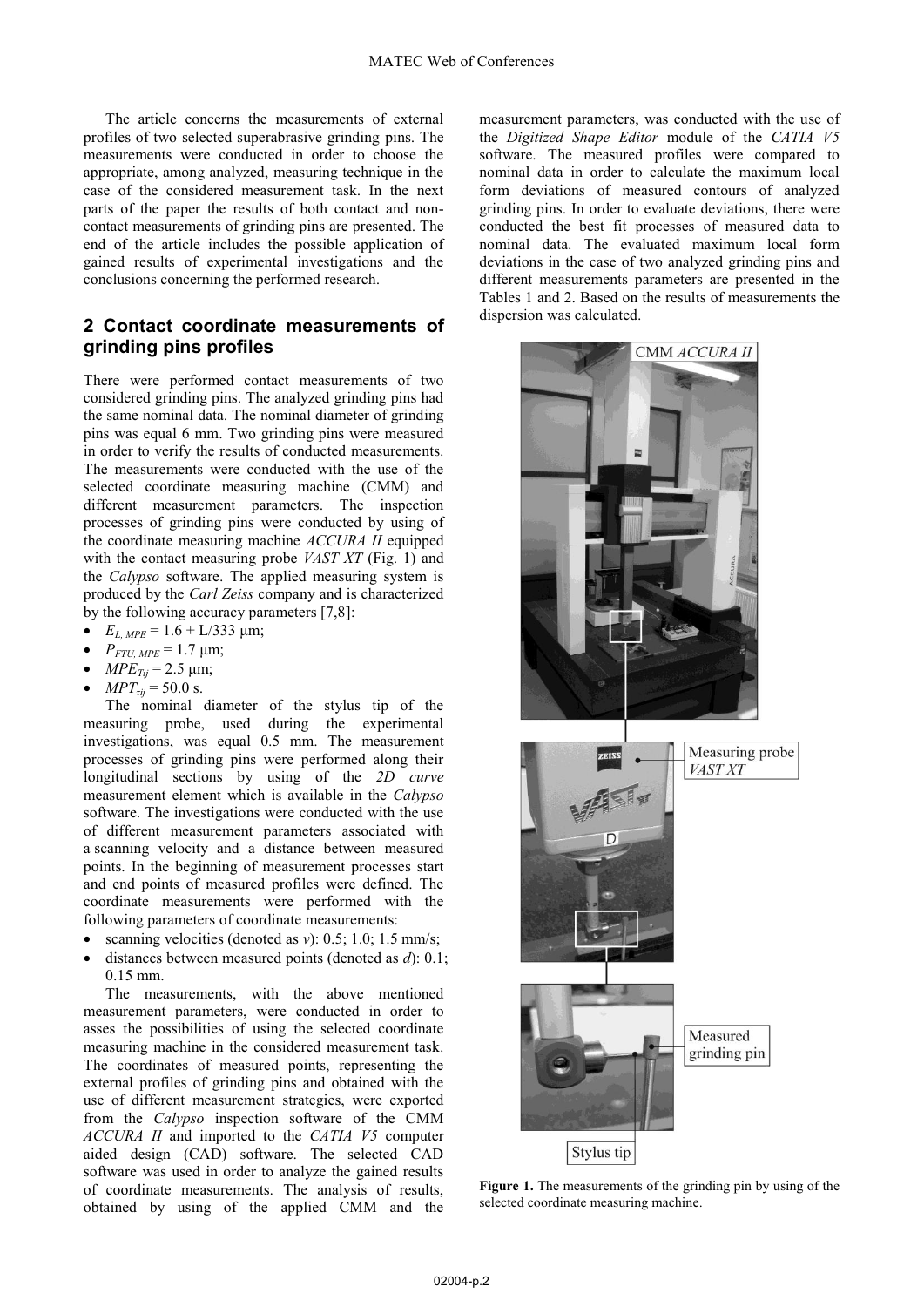The article concerns the measurements of external profiles of two selected superabrasive grinding pins. The measurements were conducted in order to choose the appropriate, among analyzed, measuring technique in the case of the considered measurement task. In the next parts of the paper the results of both contact and noncontact measurements of grinding pins are presented. The end of the article includes the possible application of gained results of experimental investigations and the conclusions concerning the performed research.

## **2 Contact coordinate measurements of grinding pins profiles**

There were performed contact measurements of two considered grinding pins. The analyzed grinding pins had the same nominal data. The nominal diameter of grinding pins was equal 6 mm. Two grinding pins were measured in order to verify the results of conducted measurements. The measurements were conducted with the use of the selected coordinate measuring machine (CMM) and different measurement parameters. The inspection processes of grinding pins were conducted by using of the coordinate measuring machine *ACCURA II* equipped with the contact measuring probe *VAST XT* (Fig. 1) and the *Calypso* software. The applied measuring system is produced by the *Carl Zeiss* company and is characterized by the following accuracy parameters [7,8]:

- - $E_{L, MPE} = 1.6 + L/333$  μm;
- - $P_{FTU, MPE} = 1.7 \text{ }\mu\text{m};$
- - $MPE_{Tij}$  = 2.5  $\mu$ m;
- - $MPT_{\tau ii} = 50.0$  s.

The nominal diameter of the stylus tip of the measuring probe, used during the experimental investigations, was equal 0.5 mm. The measurement processes of grinding pins were performed along their longitudinal sections by using of the *2D curve* measurement element which is available in the *Calypso* software. The investigations were conducted with the use of different measurement parameters associated with a scanning velocity and a distance between measured points. In the beginning of measurement processes start and end points of measured profiles were defined. The coordinate measurements were performed with the following parameters of coordinate measurements:

- scanning velocities (denoted as *v*): 0.5; 1.0; 1.5 mm/s;
- distances between measured points (denoted as *d*): 0.1; 0.15 mm.

The measurements, with the above mentioned measurement parameters, were conducted in order to asses the possibilities of using the selected coordinate measuring machine in the considered measurement task. The coordinates of measured points, representing the external profiles of grinding pins and obtained with the use of different measurement strategies, were exported from the *Calypso* inspection software of the CMM *ACCURA II* and imported to the *CATIA V5* computer aided design (CAD) software. The selected CAD software was used in order to analyze the gained results of coordinate measurements. The analysis of results, obtained by using of the applied CMM and the

measurement parameters, was conducted with the use of the *Digitized Shape Editor* module of the *CATIA V5* software. The measured profiles were compared to nominal data in order to calculate the maximum local form deviations of measured contours of analyzed grinding pins. In order to evaluate deviations, there were conducted the best fit processes of measured data to nominal data. The evaluated maximum local form deviations in the case of two analyzed grinding pins and different measurements parameters are presented in the Tables 1 and 2. Based on the results of measurements the dispersion was calculated.



**Figure 1.** The measurements of the grinding pin by using of the selected coordinate measuring machine.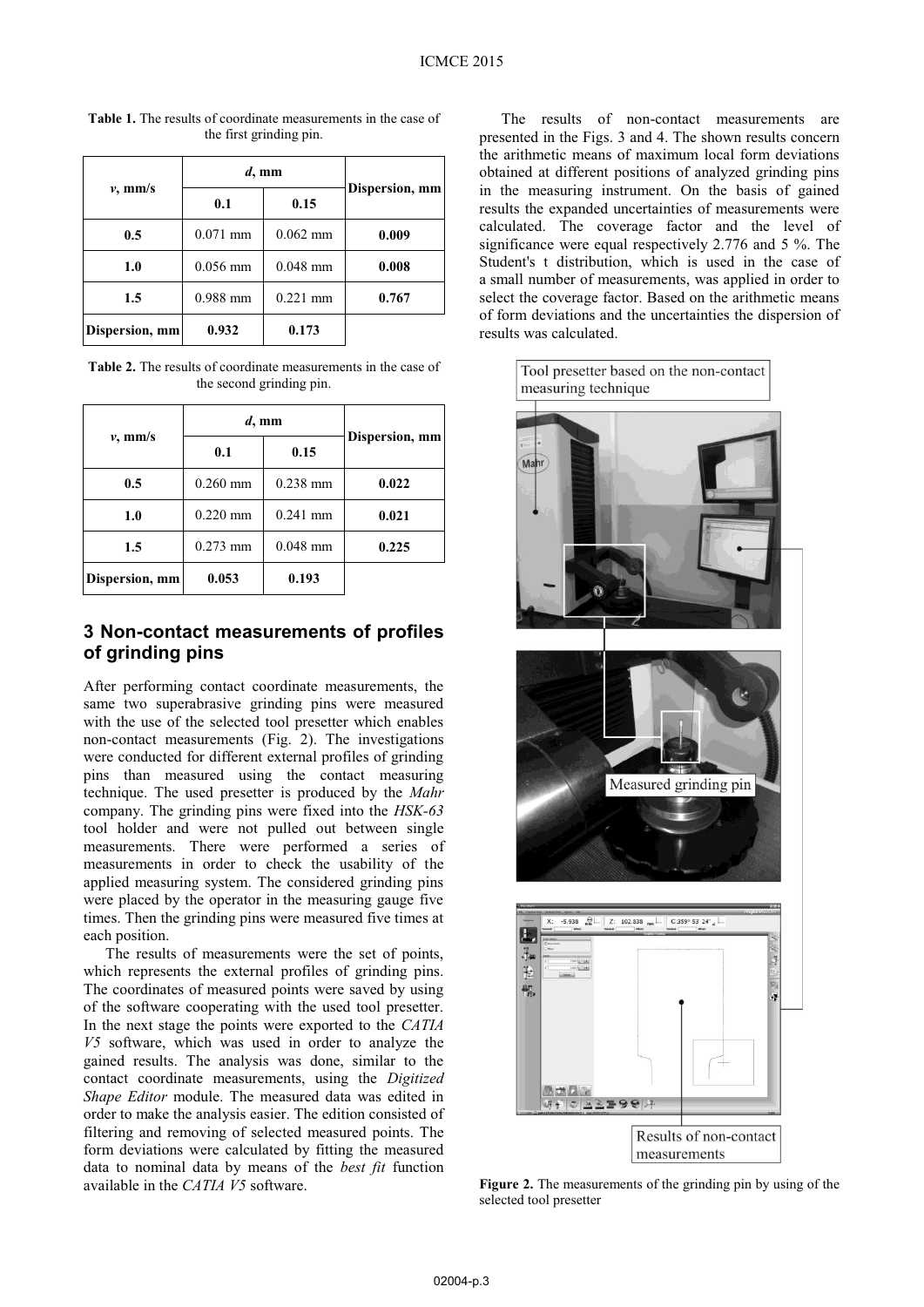| $\nu$ , mm/s   | $d, \text{mm}$ |            |                |
|----------------|----------------|------------|----------------|
|                | 0.1            | 0.15       | Dispersion, mm |
| 0.5            | $0.071$ mm     | $0.062$ mm | 0.009          |
| 1.0            | $0.056$ mm     | $0.048$ mm | 0.008          |
| 1.5            | $0.988$ mm     | $0.221$ mm | 0.767          |
| Dispersion, mm | 0.932          | 0.173      |                |

**Table 1.** The results of coordinate measurements in the case of the first grinding pin.

**Table 2.** The results of coordinate measurements in the case of the second grinding pin.

| $\nu$ , mm/s   | $d$ , mm   |            |                |
|----------------|------------|------------|----------------|
|                | 0.1        | 0.15       | Dispersion, mm |
| 0.5            | $0.260$ mm | $0.238$ mm | 0.022          |
| 1.0            | $0.220$ mm | $0.241$ mm | 0.021          |
| 1.5            | $0.273$ mm | $0.048$ mm | 0.225          |
| Dispersion, mm | 0.053      | 0.193      |                |

# **3 Non-contact measurements of profiles of grinding pins**

After performing contact coordinate measurements, the same two superabrasive grinding pins were measured with the use of the selected tool presetter which enables non-contact measurements (Fig. 2). The investigations were conducted for different external profiles of grinding pins than measured using the contact measuring technique. The used presetter is produced by the *Mahr* company. The grinding pins were fixed into the *HSK-63* tool holder and were not pulled out between single measurements. There were performed a series of measurements in order to check the usability of the applied measuring system. The considered grinding pins were placed by the operator in the measuring gauge five times. Then the grinding pins were measured five times at each position.

The results of measurements were the set of points, which represents the external profiles of grinding pins. The coordinates of measured points were saved by using of the software cooperating with the used tool presetter. In the next stage the points were exported to the *CATIA V5* software, which was used in order to analyze the gained results. The analysis was done, similar to the contact coordinate measurements, using the *Digitized Shape Editor* module. The measured data was edited in order to make the analysis easier. The edition consisted of filtering and removing of selected measured points. The form deviations were calculated by fitting the measured data to nominal data by means of the *best fit* function available in the *CATIA V5* software.

The results of non-contact measurements are presented in the Figs. 3 and 4. The shown results concern the arithmetic means of maximum local form deviations obtained at different positions of analyzed grinding pins in the measuring instrument. On the basis of gained results the expanded uncertainties of measurements were calculated. The coverage factor and the level of significance were equal respectively 2.776 and 5 %. The Student's t distribution, which is used in the case of a small number of measurements, was applied in order to select the coverage factor. Based on the arithmetic means of form deviations and the uncertainties the dispersion of results was calculated.



**Figure 2.** The measurements of the grinding pin by using of the selected tool presetter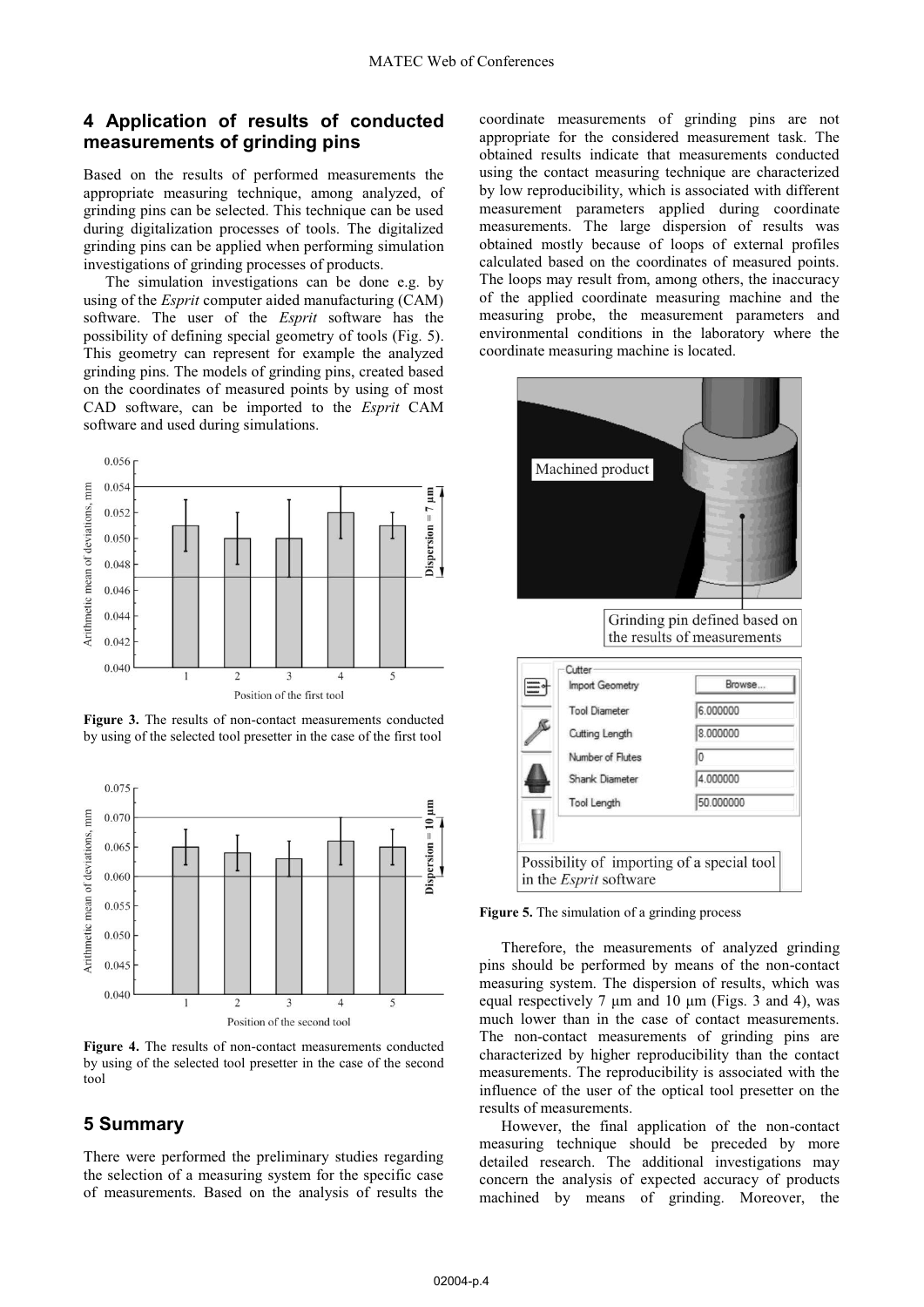## **4 Application of results of conducted measurements of grinding pins**

Based on the results of performed measurements the appropriate measuring technique, among analyzed, of grinding pins can be selected. This technique can be used during digitalization processes of tools. The digitalized grinding pins can be applied when performing simulation investigations of grinding processes of products.

The simulation investigations can be done e.g. by using of the *Esprit* computer aided manufacturing (CAM) software. The user of the *Esprit* software has the possibility of defining special geometry of tools (Fig. 5). This geometry can represent for example the analyzed grinding pins. The models of grinding pins, created based on the coordinates of measured points by using of most CAD software, can be imported to the *Esprit* CAM software and used during simulations.



**Figure 3.** The results of non-contact measurements conducted by using of the selected tool presetter in the case of the first tool



**Figure 4.** The results of non-contact measurements conducted by using of the selected tool presetter in the case of the second tool

### **5 Summary**

There were performed the preliminary studies regarding the selection of a measuring system for the specific case of measurements. Based on the analysis of results the

coordinate measurements of grinding pins are not appropriate for the considered measurement task. The obtained results indicate that measurements conducted using the contact measuring technique are characterized by low reproducibility, which is associated with different measurement parameters applied during coordinate measurements. The large dispersion of results was obtained mostly because of loops of external profiles calculated based on the coordinates of measured points. The loops may result from, among others, the inaccuracy of the applied coordinate measuring machine and the measuring probe, the measurement parameters and environmental conditions in the laboratory where the coordinate measuring machine is located.



Grinding pin defined based on the results of measurements



**Figure 5.** The simulation of a grinding process

Therefore, the measurements of analyzed grinding pins should be performed by means of the non-contact measuring system. The dispersion of results, which was equal respectively 7 μm and 10 μm (Figs. 3 and 4), was much lower than in the case of contact measurements. The non-contact measurements of grinding pins are characterized by higher reproducibility than the contact measurements. The reproducibility is associated with the influence of the user of the optical tool presetter on the results of measurements.

However, the final application of the non-contact measuring technique should be preceded by more detailed research. The additional investigations may concern the analysis of expected accuracy of products machined by means of grinding. Moreover, the